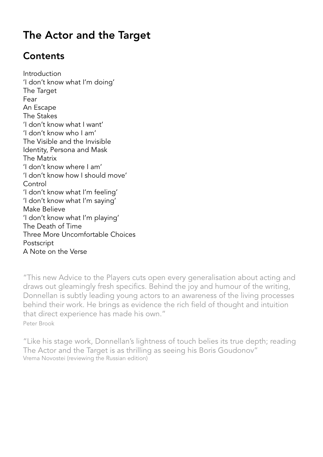## **Contents**

Introduction 'I don't know what I'm doing' The Target Fear An Escape The Stakes 'I don't know what I want' 'I don't know who I am' The Visible and the Invisible Identity, Persona and Mask The Matrix 'I don't know where I am' 'I don't know how I should move' Control 'I don't know what I'm feeling' 'I don't know what I'm saying' Make Believe 'I don't know what I'm playing' The Death of Time Three More Uncomfortable Choices Postscript A Note on the Verse

"This new Advice to the Players cuts open every generalisation about acting and draws out gleamingly fresh specifics. Behind the joy and humour of the writing, Donnellan is subtly leading young actors to an awareness of the living processes behind their work. He brings as evidence the rich field of thought and intuition that direct experience has made his own." Peter Brook

"Like his stage work, Donnellan's lightness of touch belies its true depth; reading The Actor and the Target is as thrilling as seeing his Boris Goudonov" Vrema Novostei (reviewing the Russian edition)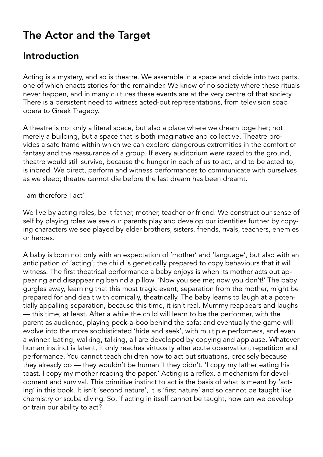### Introduction

Acting is a mystery, and so is theatre. We assemble in a space and divide into two parts, one of which enacts stories for the remainder. We know of no society where these rituals never happen, and in many cultures these events are at the very centre of that society. There is a persistent need to witness acted-out representations, from television soap opera to Greek Tragedy.

A theatre is not only a literal space, but also a place where we dream together; not merely a building, but a space that is both imaginative and collective. Theatre provides a safe frame within which we can explore dangerous extremities in the comfort of fantasy and the reassurance of a group. If every auditorium were razed to the ground, theatre would still survive, because the hunger in each of us to act, and to be acted to, is inbred. We direct, perform and witness performances to communicate with ourselves as we sleep; theatre cannot die before the last dream has been dreamt.

I am therefore I act'

We live by acting roles, be it father, mother, teacher or friend. We construct our sense of self by playing roles we see our parents play and develop our identities further by copying characters we see played by elder brothers, sisters, friends, rivals, teachers, enemies or heroes.

A baby is born not only with an expectation of 'mother' and 'language', but also with an anticipation of 'acting'; the child is genetically prepared to copy behaviours that it will witness. The first theatrical performance a baby enjoys is when its mother acts out appearing and disappearing behind a pillow. 'Now you see me; now you don't!' The baby gurgles away, learning that this most tragic event, separation from the mother, might be prepared for and dealt with comically, theatrically. The baby learns to laugh at a potentially appalling separation, because this time, it isn't real. Mummy reappears and laughs — this time, at least. After a while the child will learn to be the performer, with the parent as audience, playing peek-a-boo behind the sofa; and eventually the game will evolve into the more sophisticated 'hide and seek', with multiple performers, and even a winner. Eating, walking, talking, all are developed by copying and applause. Whatever human instinct is latent, it only reaches virtuosity after acute observation, repetition and performance. You cannot teach children how to act out situations, precisely because they already do — they wouldn't be human if they didn't. 'I copy my father eating his toast. I copy my mother reading the paper.' Acting is a reflex, a mechanism for development and survival. This primitive instinct to act is the basis of what is meant by 'acting' in this book. It isn't 'second nature', it is 'first nature' and so cannot be taught like chemistry or scuba diving. So, if acting in itself cannot be taught, how can we develop or train our ability to act?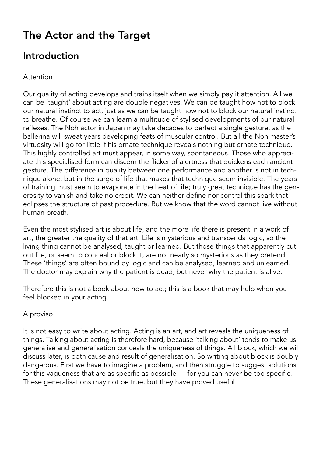### Introduction

#### Attention

Our quality of acting develops and trains itself when we simply pay it attention. All we can be 'taught' about acting are double negatives. We can be taught how not to block our natural instinct to act, just as we can be taught how not to block our natural instinct to breathe. Of course we can learn a multitude of stylised developments of our natural reflexes. The Noh actor in Japan may take decades to perfect a single gesture, as the ballerina will sweat years developing feats of muscular control. But all the Noh master's virtuosity will go for little if his ornate technique reveals nothing but ornate technique. This highly controlled art must appear, in some way, spontaneous. Those who appreciate this specialised form can discern the flicker of alertness that quickens each ancient gesture. The difference in quality between one performance and another is not in technique alone, but in the surge of life that makes that technique seem invisible. The years of training must seem to evaporate in the heat of life; truly great technique has the generosity to vanish and take no credit. We can neither define nor control this spark that eclipses the structure of past procedure. But we know that the word cannot live without human breath.

Even the most stylised art is about life, and the more life there is present in a work of art, the greater the quality of that art. Life is mysterious and transcends logic, so the living thing cannot be analysed, taught or learned. But those things that apparently cut out life, or seem to conceal or block it, are not nearly so mysterious as they pretend. These 'things' are often bound by logic and can be analysed, learned and unlearned. The doctor may explain why the patient is dead, but never why the patient is alive.

Therefore this is not a book about how to act; this is a book that may help when you feel blocked in your acting.

#### A proviso

It is not easy to write about acting. Acting is an art, and art reveals the uniqueness of things. Talking about acting is therefore hard, because 'talking about' tends to make us generalise and generalisation conceals the uniqueness of things. All block, which we will discuss later, is both cause and result of generalisation. So writing about block is doubly dangerous. First we have to imagine a problem, and then struggle to suggest solutions for this vagueness that are as specific as possible — for you can never be too specific. These generalisations may not be true, but they have proved useful.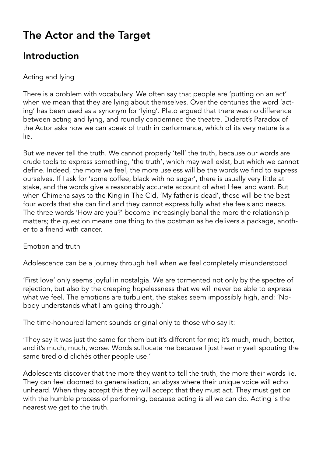### Introduction

### Acting and lying

There is a problem with vocabulary. We often say that people are 'putting on an act' when we mean that they are lying about themselves. Over the centuries the word 'acting' has been used as a synonym for 'lying'. Plato argued that there was no difference between acting and lying, and roundly condemned the theatre. Diderot's Paradox of the Actor asks how we can speak of truth in performance, which of its very nature is a lie.

But we never tell the truth. We cannot properly 'tell' the truth, because our words are crude tools to express something, 'the truth', which may well exist, but which we cannot define. Indeed, the more we feel, the more useless will be the words we find to express ourselves. If I ask for 'some coffee, black with no sugar', there is usually very little at stake, and the words give a reasonably accurate account of what I feel and want. But when Chimena says to the King in The Cid, 'My father is dead', these will be the best four words that she can find and they cannot express fully what she feels and needs. The three words 'How are you?' become increasingly banal the more the relationship matters; the question means one thing to the postman as he delivers a package, another to a friend with cancer.

Emotion and truth

Adolescence can be a journey through hell when we feel completely misunderstood.

'First love' only seems joyful in nostalgia. We are tormented not only by the spectre of rejection, but also by the creeping hopelessness that we will never be able to express what we feel. The emotions are turbulent, the stakes seem impossibly high, and: 'Nobody understands what I am going through.'

The time-honoured lament sounds original only to those who say it:

'They say it was just the same for them but it's different for me; it's much, much, better, and it's much, much, worse. Words suffocate me because I just hear myself spouting the same tired old clichés other people use.'

Adolescents discover that the more they want to tell the truth, the more their words lie. They can feel doomed to generalisation, an abyss where their unique voice will echo unheard. When they accept this they will accept that they must act. They must get on with the humble process of performing, because acting is all we can do. Acting is the nearest we get to the truth.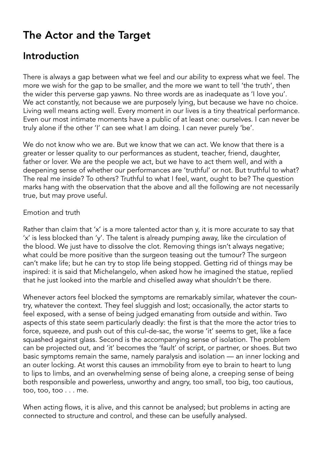### Introduction

There is always a gap between what we feel and our ability to express what we feel. The more we wish for the gap to be smaller, and the more we want to tell 'the truth', then the wider this perverse gap yawns. No three words are as inadequate as 'I love you'. We act constantly, not because we are purposely lying, but because we have no choice. Living well means acting well. Every moment in our lives is a tiny theatrical performance. Even our most intimate moments have a public of at least one: ourselves. I can never be truly alone if the other 'I' can see what I am doing. I can never purely 'be'.

We do not know who we are. But we know that we can act. We know that there is a greater or lesser quality to our performances as student, teacher, friend, daughter, father or lover. We are the people we act, but we have to act them well, and with a deepening sense of whether our performances are 'truthful' or not. But truthful to what? The real me inside? To others? Truthful to what I feel, want, ought to be? The question marks hang with the observation that the above and all the following are not necessarily true, but may prove useful.

#### Emotion and truth

Rather than claim that 'x' is a more talented actor than y, it is more accurate to say that 'x' is less blocked than 'y'. The talent is already pumping away, like the circulation of the blood. We just have to dissolve the clot. Removing things isn't always negative; what could be more positive than the surgeon teasing out the tumour? The surgeon can't make life; but he can try to stop life being stopped. Getting rid of things may be inspired: it is said that Michelangelo, when asked how he imagined the statue, replied that he just looked into the marble and chiselled away what shouldn't be there.

Whenever actors feel blocked the symptoms are remarkably similar, whatever the country, whatever the context. They feel sluggish and lost; occasionally, the actor starts to feel exposed, with a sense of being judged emanating from outside and within. Two aspects of this state seem particularly deadly: the first is that the more the actor tries to force, squeeze, and push out of this cul-de-sac, the worse 'it' seems to get, like a face squashed against glass. Second is the accompanying sense of isolation. The problem can be projected out, and 'it' becomes the 'fault' of script, or partner, or shoes. But two basic symptoms remain the same, namely paralysis and isolation — an inner locking and an outer locking. At worst this causes an immobility from eye to brain to heart to lung to lips to limbs, and an overwhelming sense of being alone, a creeping sense of being both responsible and powerless, unworthy and angry, too small, too big, too cautious, too, too, too . . . me.

When acting flows, it is alive, and this cannot be analysed; but problems in acting are connected to structure and control, and these can be usefully analysed.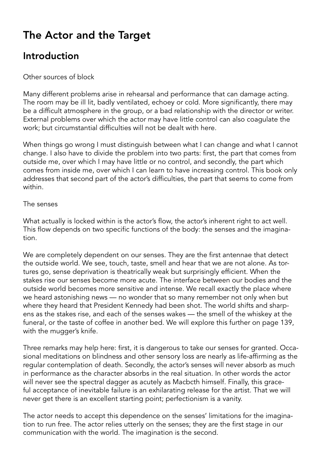### Introduction

### Other sources of block

Many different problems arise in rehearsal and performance that can damage acting. The room may be ill lit, badly ventilated, echoey or cold. More significantly, there may be a difficult atmosphere in the group, or a bad relationship with the director or writer. External problems over which the actor may have little control can also coagulate the work; but circumstantial difficulties will not be dealt with here.

When things go wrong I must distinguish between what I can change and what I cannot change. I also have to divide the problem into two parts: first, the part that comes from outside me, over which I may have little or no control, and secondly, the part which comes from inside me, over which I can learn to have increasing control. This book only addresses that second part of the actor's difficulties, the part that seems to come from within.

#### The senses

What actually is locked within is the actor's flow, the actor's inherent right to act well. This flow depends on two specific functions of the body: the senses and the imagination.

We are completely dependent on our senses. They are the first antennae that detect the outside world. We see, touch, taste, smell and hear that we are not alone. As tortures go, sense deprivation is theatrically weak but surprisingly efficient. When the stakes rise our senses become more acute. The interface between our bodies and the outside world becomes more sensitive and intense. We recall exactly the place where we heard astonishing news — no wonder that so many remember not only when but where they heard that President Kennedy had been shot. The world shifts and sharpens as the stakes rise, and each of the senses wakes — the smell of the whiskey at the funeral, or the taste of coffee in another bed. We will explore this further on page 139, with the mugger's knife.

Three remarks may help here: first, it is dangerous to take our senses for granted. Occasional meditations on blindness and other sensory loss are nearly as life-affirming as the regular contemplation of death. Secondly, the actor's senses will never absorb as much in performance as the character absorbs in the real situation. In other words the actor will never see the spectral dagger as acutely as Macbcth himself. Finally, this graceful acceptance of inevitable failure is an exhilarating release for the artist. That we will never get there is an excellent starting point; perfectionism is a vanity.

The actor needs to accept this dependence on the senses' limitations for the imagination to run free. The actor relies utterly on the senses; they are the first stage in our communication with the world. The imagination is the second.